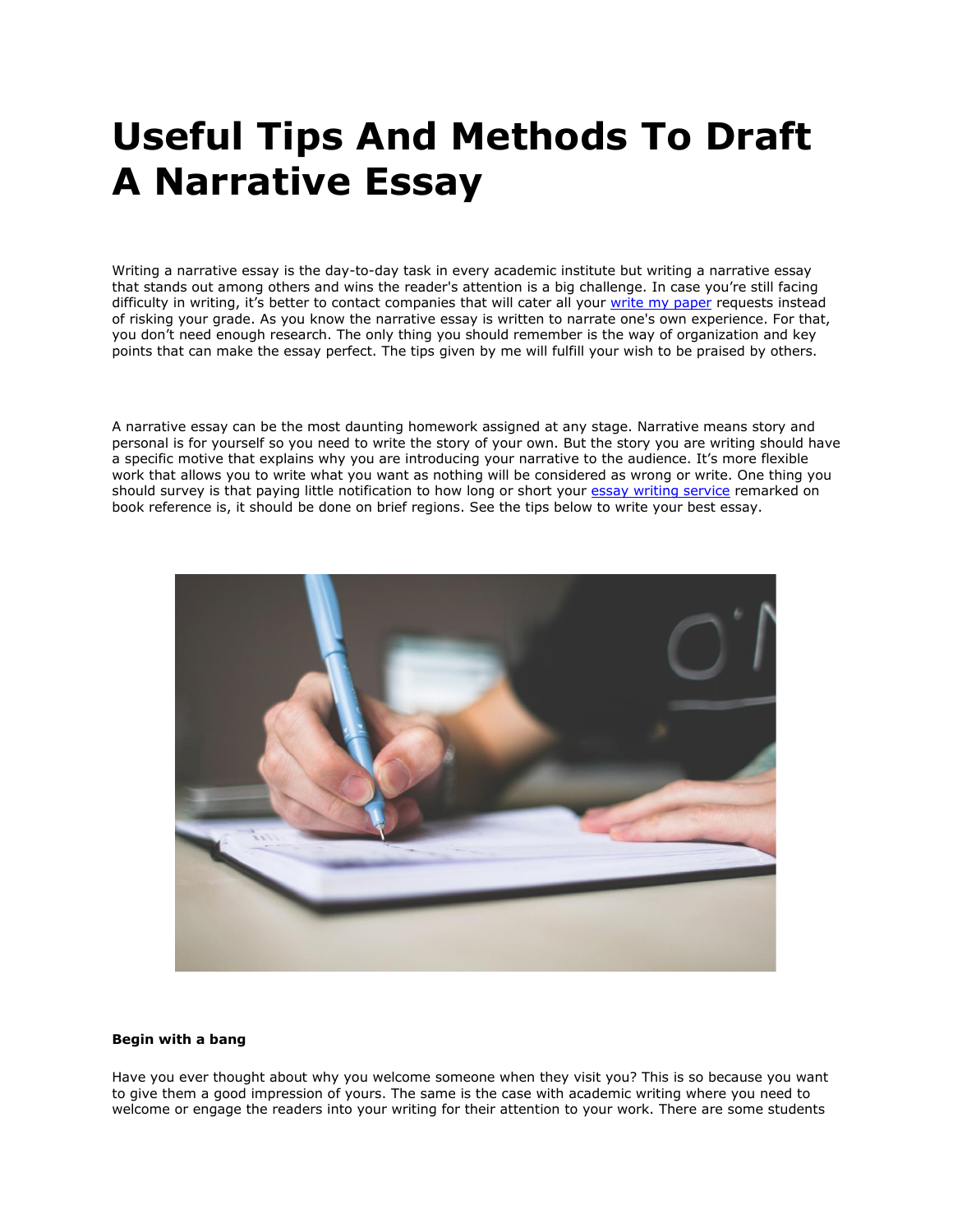# **Useful Tips And Methods To Draft A Narrative Essay**

Writing a narrative essay is the day-to-day task in every academic institute but writing a narrative essay that stands out among others and wins the reader's attention is a big challenge. In case you're still facing difficulty in writing, it's better to contact companies that will cater all your [write my paper](https://www.myperfectpaper.net/) requests instead of risking your grade. As you know the narrative essay is written to narrate one's own experience. For that, you don't need enough research. The only thing you should remember is the way of organization and key points that can make the essay perfect. The tips given by me will fulfill your wish to be praised by others.

A narrative essay can be the most daunting homework assigned at any stage. Narrative means story and personal is for yourself so you need to write the story of your own. But the story you are writing should have a specific motive that explains why you are introducing your narrative to the audience. It's more flexible work that allows you to write what you want as nothing will be considered as wrong or write. One thing you should survey is that paying little notification to how long or short your [essay writing service](https://www.myperfectwords.com/) remarked on book reference is, it should be done on brief regions. See the tips below to write your best essay.



# **Begin with a bang**

Have you ever thought about why you welcome someone when they visit you? This is so because you want to give them a good impression of yours. The same is the case with academic writing where you need to welcome or engage the readers into your writing for their attention to your work. There are some students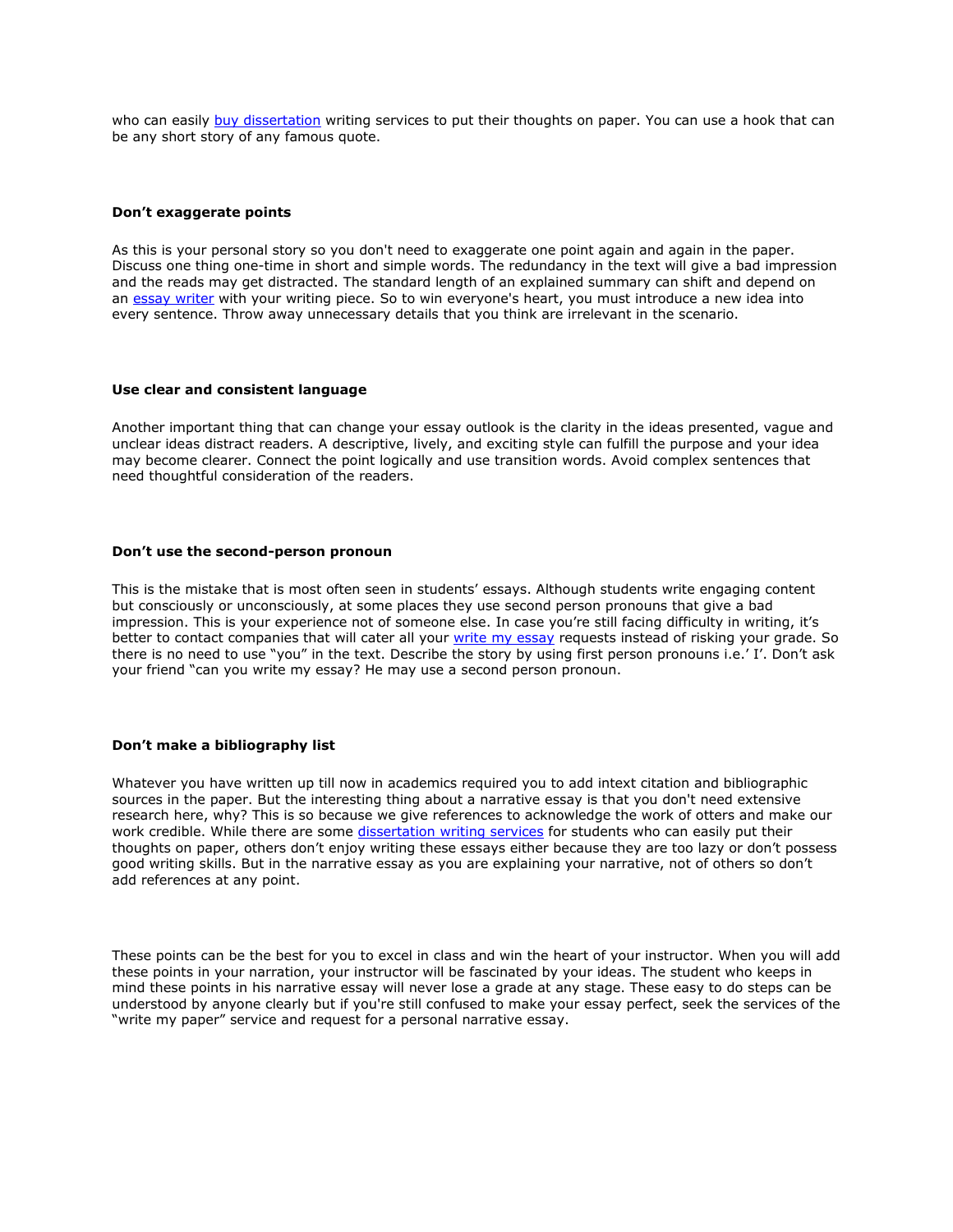who can easily [buy dissertation](https://www.gradschoolgenius.com/buy-dissertation) writing services to put their thoughts on paper. You can use a hook that can be any short story of any famous quote.

### **Don't exaggerate points**

As this is your personal story so you don't need to exaggerate one point again and again in the paper. Discuss one thing one-time in short and simple words. The redundancy in the text will give a bad impression and the reads may get distracted. The standard length of an explained summary can shift and depend on an [essay writer](https://www.essaywriter.college/) with your writing piece. So to win everyone's heart, you must introduce a new idea into every sentence. Throw away unnecessary details that you think are irrelevant in the scenario.

### **Use clear and consistent language**

Another important thing that can change your essay outlook is the clarity in the ideas presented, vague and unclear ideas distract readers. A descriptive, lively, and exciting style can fulfill the purpose and your idea may become clearer. Connect the point logically and use transition words. Avoid complex sentences that need thoughtful consideration of the readers.

## **Don't use the second-person pronoun**

This is the mistake that is most often seen in students' essays. Although students write engaging content but consciously or unconsciously, at some places they use second person pronouns that give a bad impression. This is your experience not of someone else. In case you're still facing difficulty in writing, it's better to contact companies that will cater all your [write my essay](https://www.writemyessay.help/) requests instead of risking your grade. So there is no need to use "you" in the text. Describe the story by using first person pronouns i.e.' I'. Don't ask your friend "can you write my essay? He may use a second person pronoun.

## **Don't make a bibliography list**

Whatever you have written up till now in academics required you to add intext citation and bibliographic sources in the paper. But the interesting thing about a narrative essay is that you don't need extensive research here, why? This is so because we give references to acknowledge the work of otters and make our work credible. While there are some [dissertation writing services](https://www.gradschoolgenius.com/dissertation-writing-services) for students who can easily put their thoughts on paper, others don't enjoy writing these essays either because they are too lazy or don't possess good writing skills. But in the narrative essay as you are explaining your narrative, not of others so don't add references at any point.

These points can be the best for you to excel in class and win the heart of your instructor. When you will add these points in your narration, your instructor will be fascinated by your ideas. The student who keeps in mind these points in his narrative essay will never lose a grade at any stage. These easy to do steps can be understood by anyone clearly but if you're still confused to make your essay perfect, seek the services of the "write my paper" service and request for a personal narrative essay.